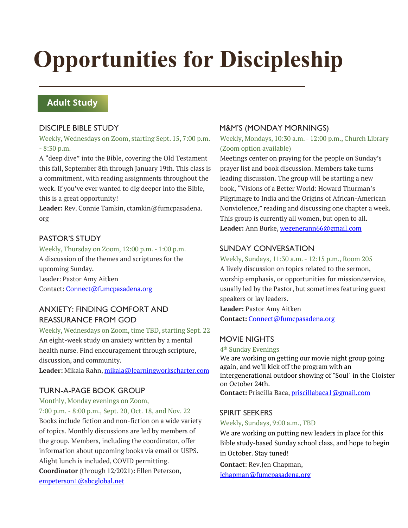# **Opportunities for Discipleship**

## **Adult Study**

## DISCIPLE BIBLE STUDY

Weekly, Wednesdays on Zoom, starting Sept. 15, 7:00 p.m. - 8:30 p.m.

A "deep dive" into the Bible, covering the Old Testament this fall, September 8th through January 19th. This class is a commitment, with reading assignments throughout the week. If you've ever wanted to dig deeper into the Bible, this is a great opportunity!

**Leader:** Rev. Connie Tamkin, ctamkin@fumcpasadena. org

## PASTOR'S STUDY

Weekly, Thursday on Zoom, 12:00 p.m. - 1:00 p.m. A discussion of the themes and scriptures for the upcoming Sunday. Leader: Pastor Amy Aitken Contact: Connect@fumcpasadena.org

## ANXIETY: FINDING COMFORT AND REASSURANCE FROM GOD

Weekly, Wednesdays on Zoom, time TBD, starting Sept. 22 An eight-week study on anxiety written by a mental health nurse. Find encouragement through scripture, discussion, and community.

**Leader:** Mikala Rahn, mikala@learningworkscharter.com

## TURN-A-PAGE BOOK GROUP

Monthly, Monday evenings on Zoom, 7:00 p.m. - 8:00 p.m., Sept. 20, Oct. 18, and Nov. 22 Books include fiction and non-fiction on a wide variety of topics. Monthly discussions are led by members of the group. Members, including the coordinator, offer information about upcoming books via email or USPS. Alight lunch is included, COVID permitting. **Coordinator** (through 12/2021)**:** Ellen Peterson, empeterson1@sbcglobal.net

## M&M'S (MONDAY MORNINGS)

Weekly, Mondays, 10:30 a.m. - 12:00 p.m., Church Library (Zoom option available)

Meetings center on praying for the people on Sunday's prayer list and book discussion. Members take turns leading discussion. The group will be starting a new book, "Visions of a Better World: Howard Thurman's Pilgrimage to India and the Origins of African-American Nonviolence," reading and discussing one chapter a week. This group is currently all women, but open to all. Leader: Ann Burke, wegenerann66@gmail.com

## SUNDAY CONVERSATION

Weekly, Sundays, 11:30 a.m. - 12:15 p.m., Room 205 A lively discussion on topics related to the sermon, worship emphasis, or opportunities for mission/service, usually led by the Pastor, but sometimes featuring guest speakers or lay leaders.

**Leader:** Pastor Amy Aitken **Contact:** Connect@fumcpasadena.org

## MOVIE NIGHTS

4th Sunday Evenings We are working on getting our movie night group going again, and we'll kick off the program with an intergenerational outdoor showing of "Soul" in the Cloister on October 24th. **Contact:** Priscilla Baca, priscillabaca1@gmail.com

## SPIRIT SEEKERS

Weekly, Sundays, 9:00 a.m., TBD

We are working on putting new leaders in place for this Bible study-based Sunday school class, and hope to begin in October. Stay tuned!

**Contact**: Rev.Jen Chapman, jchapman@fumcpasadena.org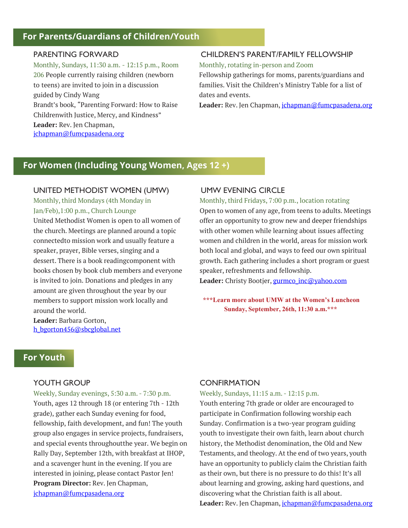## **For Parents/Guardians of Children/Youth**

#### PARENTING FORWARD

Monthly, Sundays, 11:30 a.m. - 12:15 p.m., Room 206 People currently raising children (newborn to teens) are invited to join in a discussion guided by Cindy Wang Brandt's book, "Parenting Forward: How to Raise Childrenwith Justice, Mercy, and Kindness" **Leader:** Rev. Jen Chapman, jchapman@fumcpasadena.org

#### CHILDREN'S PARENT/FAMILY FELLOWSHIP

Monthly, rotating in-person and Zoom

Fellowship gatherings for moms, parents/guardians and families. Visit the Children's Ministry Table for a list of dates and events.

Leader: Rev. Jen Chapman, *jchapman@fumcpasadena.org* 

## **For Women (Including Young Women, Ages 12 +)**

#### UNITED METHODIST WOMEN (UMW)

Monthly, third Mondays (4th Monday in Jan/Feb),1:00 p.m., Church Lounge United Methodist Women is open to all women of the church. Meetings are planned around a topic connectedto mission work and usually feature a speaker, prayer, Bible verses, singing and a dessert. There is a book readingcomponent with books chosen by book club members and everyone is invited to join. Donations and pledges in any amount are given throughout the year by our members to support mission work locally and around the world.

**Leader:** Barbara Gorton, h\_bgorton456@sbcglobal.net

#### UMW EVENING CIRCLE

Monthly, third Fridays, 7:00 p.m., location rotating

Open to women of any age, from teens to adults. Meetings offer an opportunity to grow new and deeper friendships with other women while learning about issues affecting women and children in the world, areas for mission work both local and global, and ways to feed our own spiritual growth. Each gathering includes a short program or guest speaker, refreshments and fellowship.

Leader: Christy Bootjer, **gurmco** inc@yahoo.com

**\*\*\*Learn more about UMW at the Women's Luncheon Sunday, September, 26th, 11:30 a.m.\*\*\***

## **For Youth**

#### YOUTH GROUP

Weekly, Sunday evenings, 5:30 a.m. - 7:30 p.m. Youth, ages 12 through 18 (or entering 7th - 12th grade), gather each Sunday evening for food, fellowship, faith development, and fun! The youth group also engages in service projects, fundraisers, and special events throughoutthe year. We begin on Rally Day, September 12th, with breakfast at IHOP, and a scavenger hunt in the evening. If you are interested in joining, please contact Pastor Jen! **Program Director:** Rev. Jen Chapman, jchapman@fumcpasadena.org

#### **CONFIRMATION**

Weekly, Sundays, 11:15 a.m. - 12:15 p.m.

Youth entering 7th grade or older are encouraged to participate in Confirmation following worship each Sunday. Confirmation is a two-year program guiding youth to investigate their own faith, learn about church history, the Methodist denomination, the Old and New Testaments, and theology. At the end of two years, youth have an opportunity to publicly claim the Christian faith as their own, but there is no pressure to do this! It's all about learning and growing, asking hard questions, and discovering what the Christian faith is all about. Leader: Rev. Jen Chapman, *jchapman@fumcpasadena.org*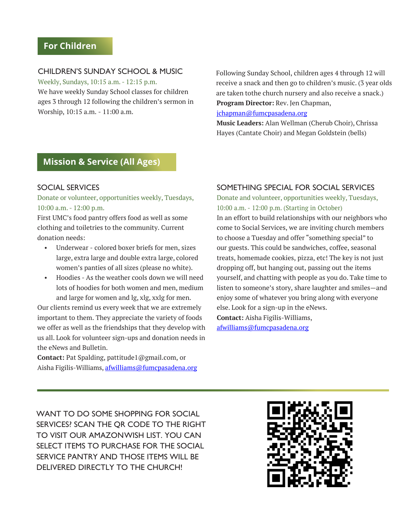## **For Children**

#### CHILDREN'S SUNDAY SCHOOL & MUSIC

Weekly, Sundays, 10:15 a.m. - 12:15 p.m. We have weekly Sunday School classes for children ages 3 through 12 following the children's sermon in Worship, 10:15 a.m. - 11:00 a.m.

Following Sunday School, children ages 4 through 12 will receive a snack and then go to children's music. (3 year olds are taken tothe church nursery and also receive a snack.) **Program Director:** Rev. Jen Chapman,

jchapman@fumcpasadena.org

**Music Leaders:** Alan Wellman (Cherub Choir), Chrissa Hayes (Cantate Choir) and Megan Goldstein (bells)

## **Mission & Service (All Ages)**

#### SOCIAL SERVICES

Donate or volunteer, opportunities weekly, Tuesdays, 10:00 a.m. - 12:00 p.m.

First UMC's food pantry offers food as well as some clothing and toiletries to the community. Current donation needs:

- Underwear colored boxer briefs for men, sizes large, extra large and double extra large, colored women's panties of all sizes (please no white).
- Hoodies As the weather cools down we will need lots of hoodies for both women and men, medium and large for women and lg, xlg, xxlg for men.

Our clients remind us every week that we are extremely important to them. They appreciate the variety of foods we offer as well as the friendships that they develop with us all. Look for volunteer sign-ups and donation needs in the eNews and Bulletin.

**Contact:** Pat Spalding, pattitude1@gmail.com, or Aisha Figilis-Williams, afwilliams@fumcpasadena.org

#### SOMETHING SPECIAL FOR SOCIAL SERVICES

Donate and volunteer, opportunities weekly, Tuesdays, 10:00 a.m. - 12:00 p.m. (Starting in October)

In an effort to build relationships with our neighbors who come to Social Services, we are inviting church members to choose a Tuesday and offer "something special" to our guests. This could be sandwiches, coffee, seasonal treats, homemade cookies, pizza, etc! The key is not just dropping off, but hanging out, passing out the items yourself, and chatting with people as you do. Take time to listen to someone's story, share laughter and smiles—and enjoy some of whatever you bring along with everyone else. Look for a sign-up in the eNews. **Contact:** Aisha Figilis-Williams,

afwilliams@fumcpasadena.org

WANT TO DO SOME SHOPPING FOR SOCIAL SERVICES? SCAN THE QR CODE TO THE RIGHT TO VISIT OUR AMAZONWISH LIST. YOU CAN SELECT ITEMS TO PURCHASE FOR THE SOCIAL SERVICE PANTRY AND THOSE ITEMS WILL BE DELIVERED DIRECTLY TO THE CHURCH!